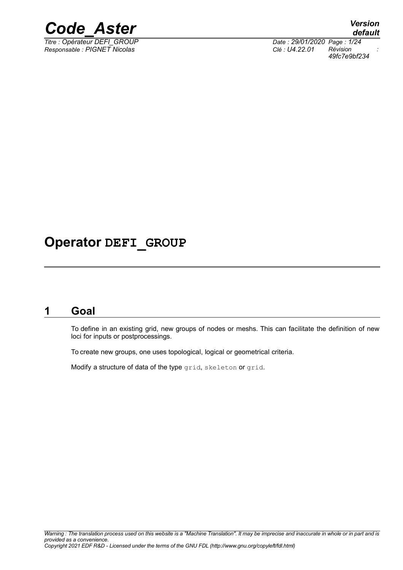

*Titre : Opérateur DEFI\_GROUP Date : 29/01/2020 Page : 1/24 Responsable : PIGNET Nicolas Clé : U4.22.01 Révision :*

*default 49fc7e9bf234*

## **Operator DEFI\_GROUP**

### **1 Goal**

<span id="page-0-0"></span>To define in an existing grid, new groups of nodes or meshs. This can facilitate the definition of new loci for inputs or postprocessings.

To create new groups, one uses topological, logical or geometrical criteria.

Modify a structure of data of the type grid, skeleton or grid.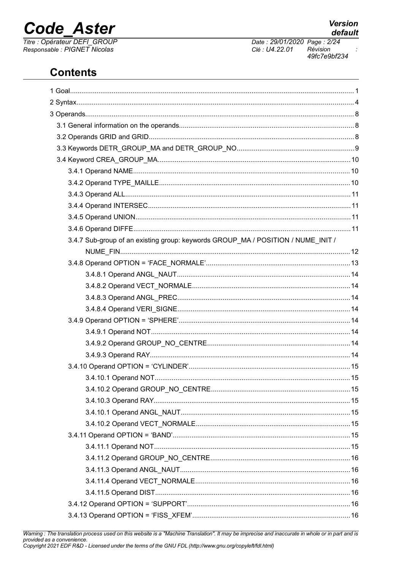# **Code Aster**

Titre : Opérateur DEFI\_GROUP<br>Responsable : PIGNET Nicolas

### **Contents**

| 3.4.7 Sub-group of an existing group: keywords GROUP_MA / POSITION / NUME_INIT / |  |
|----------------------------------------------------------------------------------|--|
|                                                                                  |  |
|                                                                                  |  |
|                                                                                  |  |
|                                                                                  |  |
|                                                                                  |  |
|                                                                                  |  |
|                                                                                  |  |
|                                                                                  |  |
|                                                                                  |  |
|                                                                                  |  |
|                                                                                  |  |
|                                                                                  |  |
|                                                                                  |  |
|                                                                                  |  |
|                                                                                  |  |
|                                                                                  |  |
|                                                                                  |  |
|                                                                                  |  |
|                                                                                  |  |
|                                                                                  |  |
|                                                                                  |  |
|                                                                                  |  |
|                                                                                  |  |
|                                                                                  |  |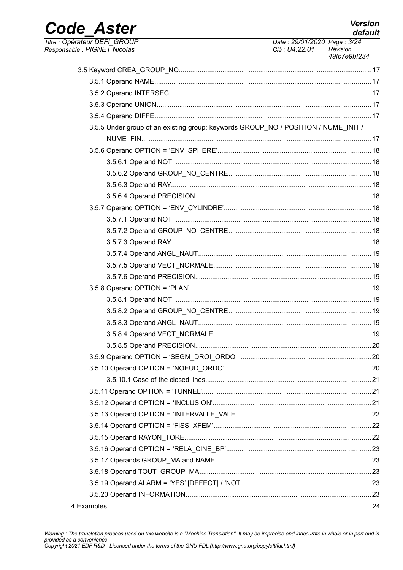**Version** default

Date: 29/01/2020 Page: 3/24

## Code\_Aster Titre : Opérateur DEFI\_GROUP

| Responsable : PIGNET Nicolas                                                       | Clé : U4.22.01 | Révision<br>49fc7e9bf234 |
|------------------------------------------------------------------------------------|----------------|--------------------------|
|                                                                                    |                |                          |
|                                                                                    |                |                          |
|                                                                                    |                |                          |
|                                                                                    |                |                          |
|                                                                                    |                |                          |
| 3.5.5 Under group of an existing group: keywords GROUP_NO / POSITION / NUME_INIT / |                |                          |
|                                                                                    |                |                          |
|                                                                                    |                |                          |
|                                                                                    |                |                          |
|                                                                                    |                |                          |
|                                                                                    |                |                          |
|                                                                                    |                |                          |
|                                                                                    |                |                          |
|                                                                                    |                |                          |
|                                                                                    |                |                          |
|                                                                                    |                |                          |
|                                                                                    |                |                          |
|                                                                                    |                |                          |
|                                                                                    |                |                          |
|                                                                                    |                |                          |
|                                                                                    |                |                          |
|                                                                                    |                |                          |
|                                                                                    |                |                          |
|                                                                                    |                |                          |
|                                                                                    |                |                          |
|                                                                                    |                |                          |
|                                                                                    |                |                          |
|                                                                                    |                |                          |
|                                                                                    |                |                          |
|                                                                                    |                |                          |
|                                                                                    |                |                          |
|                                                                                    |                |                          |
|                                                                                    |                |                          |
|                                                                                    |                |                          |
|                                                                                    |                |                          |
|                                                                                    |                |                          |
|                                                                                    |                |                          |
|                                                                                    |                |                          |
|                                                                                    |                |                          |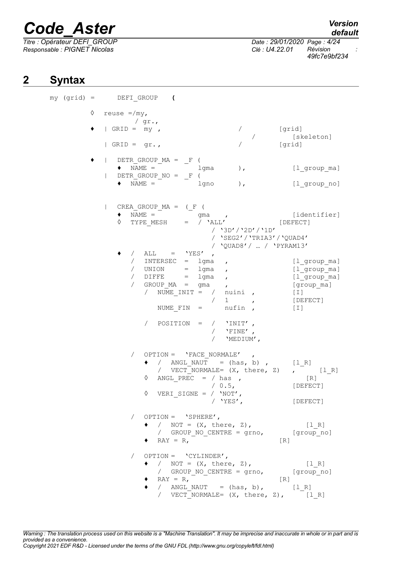*Titre : Opérateur DEFI\_GROUP Date : 29/01/2020 Page : 4/24 Responsable : PIGNET Nicolas Clé : U4.22.01 Révision :*

*49fc7e9bf234*

### **2 Syntax**

<span id="page-3-0"></span>

|  |   | $my (grid) =$ DEFI GROUP (                                                                                                                                                                                                        |                                                                                                                                                               |
|--|---|-----------------------------------------------------------------------------------------------------------------------------------------------------------------------------------------------------------------------------------|---------------------------------------------------------------------------------------------------------------------------------------------------------------|
|  | ♦ | reuse $=$ /my,<br>$\sqrt{gr.}$ ,                                                                                                                                                                                                  |                                                                                                                                                               |
|  |   | $ $ GRID = $my$ ,<br>$\sqrt{2}$                                                                                                                                                                                                   | [grid]                                                                                                                                                        |
|  |   | $\sqrt{2}$<br>[grid]<br>$ $ GRID = gr.,                                                                                                                                                                                           | [skeleton]                                                                                                                                                    |
|  |   | $\n  DETR_GROUP_MA = F$ (                                                                                                                                                                                                         |                                                                                                                                                               |
|  |   | $\bullet \qquad \text{NAME} \ = \qquad \qquad \text{1gma}$<br>$\rightarrow$<br>$\texttt{DETR\_GROUP\_NO} = \_F$ (                                                                                                                 | [1 group_ma]                                                                                                                                                  |
|  |   | $\bullet$ NAME =<br>$\, \,$ , $\,$<br>lgno                                                                                                                                                                                        | $[1$ group_no]                                                                                                                                                |
|  |   | CREA GROUP $MA = (F ($<br>$\mathbf{L}$<br>$\bullet \qquad \text{NAME} \ =$<br>gma,<br>$\Diamond$ TYPE MESH = / $\angle$ ALL' [DEFECT]<br>/ '3D'/'2D'/'1D'                                                                         | [identifier]                                                                                                                                                  |
|  |   | / 'SEG2' / 'TRIA3' / 'QUAD4'<br>/ 'QUAD8' /  / 'PYRAM13'                                                                                                                                                                          |                                                                                                                                                               |
|  |   | / ALL = $'YES'$ ,                                                                                                                                                                                                                 |                                                                                                                                                               |
|  |   | / INTERSEC = lgma<br>$\mathbf{r}$<br>/ $UNION = 1gma$<br>$\mathbf{r}$<br>/ DIFFE = lgma<br>$\mathbf{r}$<br>/ GROUP_MA = gma<br>/ NUME_INIT = / nuini ,<br>/ 1<br>$\mathbf{r}$<br>NUME FIN = $nufin$ ,                             | [l group ma]<br>$[1$ <sup>o</sup> group $m$ a]<br>$[1$ <sup>oroup<math>m</math>a]</sup><br>[group ma]<br>$\begin{bmatrix} 1 \end{bmatrix}$<br>[DEFECT]<br>[T] |
|  |   | / POSITION = $/$ 'INIT',<br>/ $'$ FINE',<br>'MEDIUM',                                                                                                                                                                             |                                                                                                                                                               |
|  |   | $OPTION = 'FACE NORMALE'$<br>$\bullet$ / ANGL_NAUT = (has, b), $[1_R]$<br>/ $VECT NORMALE = (X, there, Z)$<br>ANGL PREC = $/$ has,<br>$\Diamond$<br>/ 0.5,<br>VERI_SIGNE = $/$ 'NOT',<br>♦<br>'YES',                              | $\mathcal{L}$ $[1_R]$<br>[R]<br>[DEFECT]<br>[DEFECT]                                                                                                          |
|  |   | $OPTION = 'SPHERE',$<br>$\sqrt{2}$<br>$\bullet$ / NOT = $(X, \text{ there}, Z)$ ,<br>/ GROUP NO CENTRE = grno,<br>$\bullet$ RAY = R,<br>$\lceil R \rceil$                                                                         | $[1 R]$<br>[group no]                                                                                                                                         |
|  |   | $OPTION = VCYLINDER',$<br>$\sqrt{2}$<br>$\bullet$ / NOT = $(X, \text{ there}, Z),$<br>/ GROUP NO CENTRE = grno,<br>$RAY = R$ ,<br>$\lceil R \rceil$<br>/ ANGL NAUT = $(has, b)$ , $[1_R]$<br>/ VECT NORMALE= (X, there, Z), [1 R] | $[1 R]$<br>[group no]                                                                                                                                         |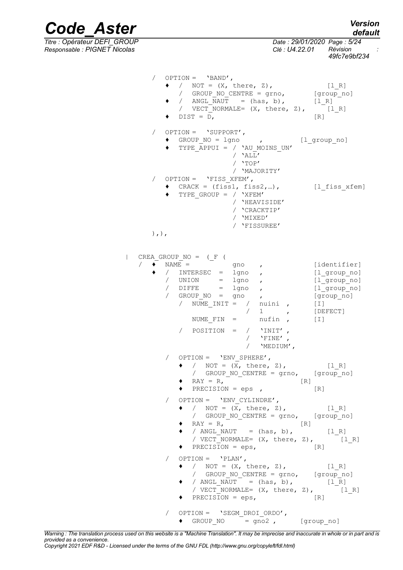*Titre : Opérateur DEFI\_GROUP Date : 29/01/2020 Page : 5/24 Responsable : PIGNET Nicolas Clé : U4.22.01 Révision :*

*Code\_Aster Version default*

*49fc7e9bf234*

|                            | / $OPTION = 'BAND',$<br>/ NOT = $(X, \text{ there}, Z)$ ,<br>/ GROUP_NO_CENTRE = grno, [group_no]<br>/ ANGL NAUT = $(has, b)$ , [1 R]<br>/ VECT NORMALE= (X, there, Z), [1 R]<br>$\bullet$ DIST = D,                                                                                                                                               | $[1 R]$<br>$\begin{bmatrix} R \end{bmatrix}$                                                               |
|----------------------------|----------------------------------------------------------------------------------------------------------------------------------------------------------------------------------------------------------------------------------------------------------------------------------------------------------------------------------------------------|------------------------------------------------------------------------------------------------------------|
| $\sqrt{2}$                 | $OPTION = 'SUPPORT',$<br>◆ GROUP_NO = lgno , [l_group_no]<br>◆ TYPE APPUI = / 'AU MOINS UN'<br>/ $'ALL'$<br>/ $'$ $"$ TOP $\! '$                                                                                                                                                                                                                   |                                                                                                            |
|                            | / 'MAJORITY'<br>/ OPTION = $'$ FISS XFEM',<br>$\bullet$ CRACK = (fiss1, fiss2,),<br>TYPE GROUP = $/$ 'XFEM'<br>/ 'HEAVISIDE'<br>/ 'CRACKTIP'<br>/ 'MIXED'<br>/ 'FISSUREE'                                                                                                                                                                          | [l fiss xfem]                                                                                              |
| $),$ , $)$ ,               |                                                                                                                                                                                                                                                                                                                                                    |                                                                                                            |
| $\mathbf{I}$<br>$\sqrt{2}$ | CREA GROUP $NO = (F ($<br>$\bullet$ NAME = $\bullet$ 9no ,<br>/ INTERSEC = lgno ,<br>/ $UNION = 1gno$ ,<br>$/$ DIFFE = $1qno$ ,<br>/ $GROUPNO = gno$<br>/ $\texttt{NUME} \texttt{\_INIT} = / \texttt{nuini}$ ,<br>$/$ 1<br>$\mathbf{r}$<br>$\begin{array}{rcl}\n\text{NUME\_FIN} & = & \text{nufin} \quad,\end{array}$<br>/ POSITION = $/$ 'INIT', | [identifier]<br>[l group no]<br>[l group no]<br>[l group_no]<br>[group no]<br>$[1]$<br>[DEFECT]<br>$[\;1]$ |
|                            | $\sqrt{1 + \text{FINE} \cdot \frac{1}{\epsilon}}$<br>/ 'MEDIUM',                                                                                                                                                                                                                                                                                   |                                                                                                            |
|                            | / $OPTION = 'ENV SPHERE',$<br>• / NOT = $(X, \text{ there}, Z),$ [1 R]<br>/ GROUP_NO_CENTRE = grno, [group_no]<br>$RAY = R$ ,<br>PRECISION = $eps$ ,                                                                                                                                                                                               | $\lfloor R \rfloor$<br>[R]                                                                                 |
|                            | $OPTION = 'ENV CYLINDRE',$<br>$\bullet$ / NOT = $(X, \text{ there}, Z)$ ,<br>/ GROUP NO CENTRE = grno, [group no]<br>$RAY = R$ ,<br>[R]<br>/ ANGL_NAUT = $(has, b)$ , $[1_R]$<br>/ VECT_NORMALE= $(X, there, Z)$ , $[1_R]$<br>PRECISION = $eps$ ,                                                                                                  | $[1_R]$<br>$\lceil R \rceil$                                                                               |
|                            | / OPTION = $'PLAN',$<br>• / NOT = $(X, \text{ there}, Z),$ [1R]<br>/ GROUP_NO_CENTRE = grno, [group_no]<br>/ $ANGL_NAUT$ = $(has, b)$ , $[1_R]$<br>/ $VECTONONALE = (X, there, Z), [1_R]$<br>$\bullet$ PRECISION = eps,                                                                                                                            | [R]                                                                                                        |
|                            | $OPTION = 'SEGM DROI ORDO',$<br>◆ GROUP NO = gno2, $[group_n]$                                                                                                                                                                                                                                                                                     |                                                                                                            |

*Warning : The translation process used on this website is a "Machine Translation". It may be imprecise and inaccurate in whole or in part and is provided as a convenience.*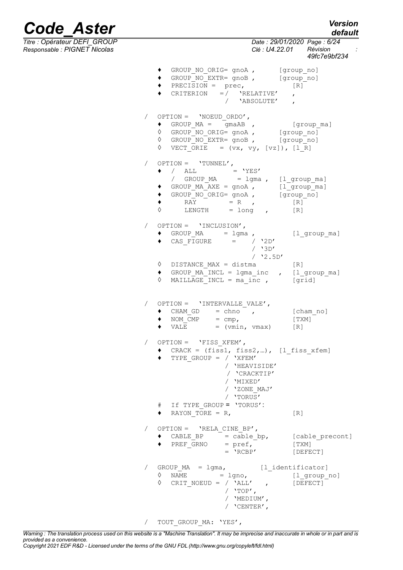*default*

# *Code\_Aster Version*

*Titre : Opérateur DEFI\_GROUP Date : 29/01/2020 Page : 6/24*

| Responsable : PIGNET Nicolas |                                                                                                                                                                                                                                           | Clé : U4.22.01 Révision<br>$\cdot$<br>49fc7e9bf234 |
|------------------------------|-------------------------------------------------------------------------------------------------------------------------------------------------------------------------------------------------------------------------------------------|----------------------------------------------------|
|                              | ◆ GROUP_NO_ORIG= gnoA, [group_no]<br>◆ GROUP_NO_EXTR= gnoB , [group_no]<br>$\bullet$ PRECISION = prec, $[R]$<br>CRITERION = $\sqrt{RELATIVE'}$ ,<br>/ 'ABSOLUTE' ,                                                                        |                                                    |
|                              | / $OPTION = 'NOEUD_ORDO',$<br>$\bullet$ GROUP_MA = $\boxed{$ gmaAB , [group_ma]<br>0 GROUP NO ORIG= gnoA, [group no]<br>↑ GROUP NO EXTR= gnoB, [group no]<br>$\Diamond$ VECT ORIE = $(vx, vy, [vz])$ , [1 R]                              |                                                    |
| $\sqrt{2}$                   | $OPTION = 'TUNNEL',$<br>$\bullet$ / ALL = 'YES'<br>/ GROUP_MA = lgma, [l_group_ma]<br>◆ GROUP_MA_AXE = gnoA, $[1\text{ group}]$<br>◆ GROUP_NO_ORIG= gnoA , $[\text{group}_n\overline{o}]$<br>◆ RAY = R , $[R]$<br>◆ LENGTH = long , $[R]$ |                                                    |
| $\sqrt{2}$                   | OPTION = 'INCLUSION',<br>• GROUP_MA = $lgma$ , $[l_grow_m a]$<br>$\bullet$ CAS_FIGURE = / $'2D'$<br>/ 3D'<br>$/$ '2.5D'                                                                                                                   |                                                    |
|                              | $\lozenge$ DISTANCE_MAX = distma [R]<br>$\bullet$ GROUP $MA$ INCL = $lgma_inc$ , $[l_grow_ma]$<br>$\Diamond$<br>MAILLAGE INCL = $ma$ inc , [grid]                                                                                         |                                                    |
|                              | $OPTION = 'INTERVALLE VALUE'$ ,<br>$\bullet$ CHAM GD = chno,<br>$\bullet$ NOM $\overline{CMP}$ = $\text{cmp}$ ,<br>$\bullet$ VALE = (vmin, vmax) [R]                                                                                      | [cham_no]<br>[TXM]                                 |
|                              | OPTION = $'$ FISS XFEM',<br>CRACK = $(fiss1, fiss2,)$ , $[1_fiss_xfem]$<br>TYPE GROUP = $/$ 'XFEM'<br>/ 'HEAVISIDE'<br>/ 'CRACKTIP'<br>/ 'MIXED'<br>/ 'ZONE MAJ'<br>/ 'TORUS'<br># If TYPE GROUP = 'TORUS':                               |                                                    |
|                              | $\bullet$ RAYON TORE = R,                                                                                                                                                                                                                 | $\lceil R \rceil$                                  |
|                              | OPTION = $'RELA CINE BP',$<br>CABLE BP $=$ cable bp,<br>$\bullet$ PREF GRNO = pref,<br>$= 'RCBP'$                                                                                                                                         | [cable precont]<br>[TXM]<br>[DEFECT]               |
|                              | $GROUP_MA = 1gma,$ [l_identificator]<br>$\Diamond$ NAME<br>$=$ lgno,<br>♦<br>$\texttt{CRIT\_NOEUD}$ = / $\texttt{YALL'}$ ,<br>/ $'$ $'$ TOP $'$ ,<br>/ 'MEDIUM',<br>/ $'CFNTER'$ ,                                                        | $[1_{\texttt{group} \_ \text{no}}]$<br>[DEFECT]    |

/ TOUT GROUP MA: 'YES',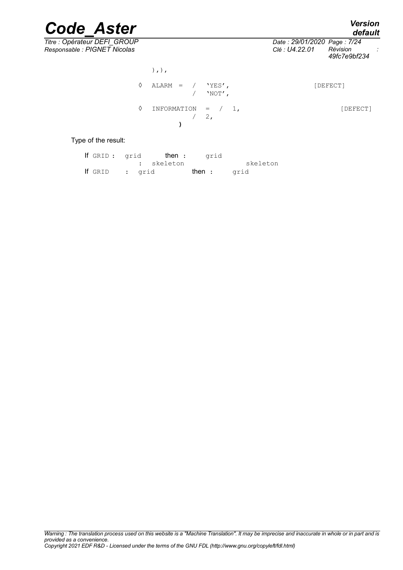*Titre : Opérateur DEFI\_GROUP Date : 29/01/2020 Page : 7/24 Responsable : PIGNET Nicolas Clé : U4.22.01 Révision :*

|   | $),$ , $)$ ,                      |            |          |
|---|-----------------------------------|------------|----------|
| ♦ | $\text{ALARM}$ = / $\text{YES}$ , | $/$ 'NOT', | [DEFECT] |
|   | INFORMATION = $/ 1$ ,             | 2,         | [DEFECT] |

Type of the result:

| If GRID: grid  |  | <b>then :</b> grid |        |          |
|----------------|--|--------------------|--------|----------|
|                |  | : skeleton         |        | skeleton |
| If GRID : grid |  |                    | then : | arid     |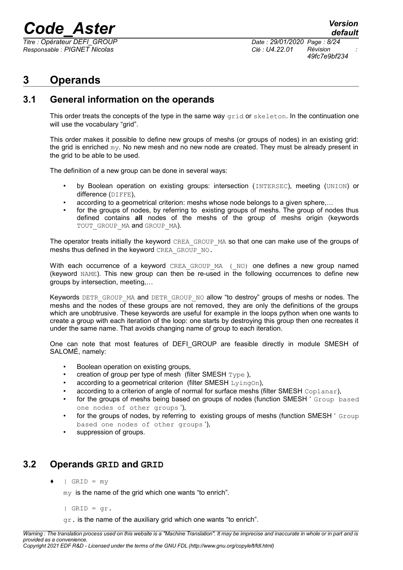*Titre : Opérateur DEFI\_GROUP Date : 29/01/2020 Page : 8/24 Responsable : PIGNET Nicolas Clé : U4.22.01 Révision :*

### <span id="page-7-2"></span>**3 Operands**

### **3.1 General information on the operands**

<span id="page-7-1"></span>This order treats the concepts of the type in the same way  $\sigma$ rid or skeleton. In the continuation one will use the vocabulary "grid".

This order makes it possible to define new groups of meshs (or groups of nodes) in an existing grid: the grid is enriched my. No new mesh and no new node are created. They must be already present in the grid to be able to be used.

The definition of a new group can be done in several ways:

- by Boolean operation on existing groups: intersection (INTERSEC), meeting (UNION) or difference (DIFFE),
- according to a geometrical criterion: meshs whose node belongs to a given sphere,…
- for the groups of nodes, by referring to existing groups of meshs. The group of nodes thus defined contains **all** nodes of the meshs of the group of meshs origin (keywords TOUT GROUP MA and GROUP MA).

The operator treats initially the keyword CREA\_GROUP\_MA so that one can make use of the groups of meshs thus defined in the keyword CREA\_GROUP\_NO.

With each occurrence of a keyword CREA GROUP MA ( NO) one defines a new group named (keyword NAME). This new group can then be re-used in the following occurrences to define new groups by intersection, meeting,…

Keywords DETR GROUP MA and DETR GROUP NO allow "to destroy" groups of meshs or nodes. The meshs and the nodes of these groups are not removed, they are only the definitions of the groups which are unobtrusive. These keywords are useful for example in the loops python when one wants to create a group with each iteration of the loop: one starts by destroying this group then one recreates it under the same name. That avoids changing name of group to each iteration.

One can note that most features of DEFI\_GROUP are feasible directly in module SMESH of SALOMÉ, namely:

- Boolean operation on existing groups,
- creation of group per type of mesh (filter SMESH  $\texttt{Tvpe}$ ).
- according to a geometrical criterion (filter SMESH  $LyingOn$ ),
- according to a criterion of angle of normal for surface meshs (filter SMESH Coplanar),
- for the groups of meshs being based on groups of nodes (function SMESH ' Group based one nodes of other groups '),
- for the groups of nodes, by referring to existing groups of meshs (function SMESH ' Group based one nodes of other groups '),
- suppression of groups.

### **3.2 Operands GRID and GRID**

<span id="page-7-0"></span> $|$  GRID = my

my is the name of the grid which one wants "to enrich".

 $|$  GRID = qr.

 $qr.$  is the name of the auxiliary grid which one wants "to enrich".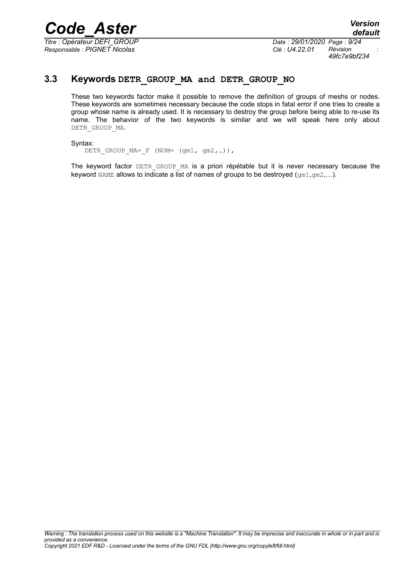*Titre : Opérateur DEFI\_GROUP Date : 29/01/2020 Page : 9/24 Responsable : PIGNET Nicolas Clé : U4.22.01 Révision :*

*49fc7e9bf234*

### **3.3 Keywords DETR\_GROUP\_MA and DETR\_GROUP\_NO**

<span id="page-8-0"></span>These two keywords factor make it possible to remove the definition of groups of meshs or nodes. These keywords are sometimes necessary because the code stops in fatal error if one tries to create a group whose name is already used. It is necessary to destroy the group before being able to re-use its name. The behavior of the two keywords is similar and we will speak here only about DETR\_GROUP\_MA.

### Syntax:

DETR GROUP MA= F (NOM= (gm1, gm2, ...)),

The keyword factor DETR GROUP MA is a priori répétable but it is never necessary because the keyword NAME allows to indicate a list of names of groups to be destroyed  $(g_{m1},g_{m2},...).$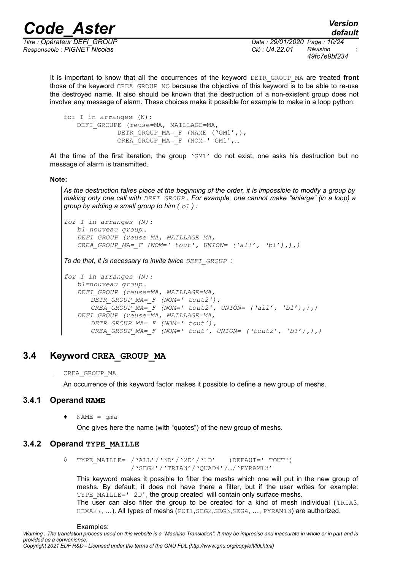*Responsable : PIGNET Nicolas Clé : U4.22.01 Révision :*

*Titre : Opérateur DEFI\_GROUP Date : 29/01/2020 Page : 10/24 49fc7e9bf234*

It is important to know that all the occurrences of the keyword DETR GROUP MA are treated front those of the keyword CREA\_GROUP\_NO because the objective of this keyword is to be able to re-use the destroyed name. It also should be known that the destruction of a non-existent group does not involve any message of alarm. These choices make it possible for example to make in a loop python:

```
for I in arranges (N):
   DEFI GROUPE (reuse=MA, MAILLAGE=MA,
             DETR GROUP MA= F (NAME ('GM1',),
             CREA GROUP MA= F (NOM=' GM1', ...
```
At the time of the first iteration, the group  $\text{VGM1}'$  do not exist, one asks his destruction but no message of alarm is transmitted.

### **Note:**

*As the destruction takes place at the beginning of the order, it is impossible to modify a group by making only one call with DEFI\_GROUP . For example, one cannot make "enlarge" (in a loop) a group by adding a small group to him ( b1 ) :*

```
for I in arranges (N):
  b1=nouveau group…
   DEFI_GROUP (reuse=MA, MAILLAGE=MA,
   CREA GROUP MA= F (NOM=' tout', UNION= ('all', 'b1'),),
```
*To do that, it is necessary to invite twice DEFI\_GROUP :*

```
for I in arranges (N):
  b1=nouveau group…
   DEFI_GROUP (reuse=MA, MAILLAGE=MA,
      DETR_GROUP_MA=_F (NOM=' tout2'),
      CREA_GROUP_MA=_F (NOM=' tout2', UNION= ('all', 'b1'),),)
   DEFI_GROUP (reuse=MA, MAILLAGE=MA,
      DETR_GROUP_MA=_F (NOM=' tout'),
      CREA-GROUPMA= F (NOM=' tout', UNION= ('tout2', 'b1'),),
```
### **3.4 Keyword CREA\_GROUP\_MA**

<span id="page-9-2"></span>| CREA\_GROUP\_MA

<span id="page-9-1"></span>An occurrence of this keyword factor makes it possible to define a new group of meshs.

### **3.4.1 Operand NAME**

 $\triangleleft$  NAME = qma

One gives here the name (with "quotes") of the new group of meshs.

### **3.4.2 Operand TYPE\_MAILLE**

<span id="page-9-0"></span>◊ TYPE\_MAILLE= /'ALL'/'3D'/'2D'/'1D' (DEFAUT=' TOUT') /'SEG2'/'TRIA3'/'QUAD4'/…/'PYRAM13'

This keyword makes it possible to filter the meshs which one will put in the new group of meshs. By default, it does not have there a filter, but if the user writes for example: TYPE\_MAILLE=' 2D', the group created will contain only surface meshs. The user can also filter the group to be created for a kind of mesh individual (TRIA3, HEXA27, ...). All types of meshs (POI1, SEG2, SEG3, SEG4, ..., PYRAM13) are authorized.

Examples:

*Copyright 2021 EDF R&D - Licensed under the terms of the GNU FDL (http://www.gnu.org/copyleft/fdl.html)*

*default*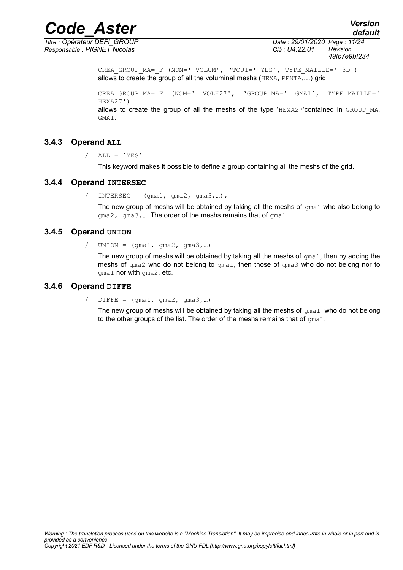*Titre : Opérateur DEFI\_GROUP Date : 29/01/2020 Page : 11/24 Responsable : PIGNET Nicolas Clé : U4.22.01 Révision :*

*Code\_Aster Version default*

*49fc7e9bf234*

CREA GROUP MA= F (NOM=' VOLUM', 'TOUT=' YES', TYPE MAILLE=' 3D') allows to create the group of all the voluminal meshs (HEXA, PENTA,…) grid.

CREA GROUP MA= F (NOM=' VOLH27', 'GROUP MA=' GMA1', TYPE MAILLE='  $HEXA<sub>2</sub>7'$ allows to create the group of all the meshs of the type  $HEXA27$  contained in GROUP MA. GMA1.

### **3.4.3 Operand ALL**

<span id="page-10-3"></span> $/$  ALL = 'YES'

This keyword makes it possible to define a group containing all the meshs of the grid.

### **3.4.4 Operand INTERSEC**

<span id="page-10-2"></span>/ INTERSEC =  $(gma1, gma2, gma3,...)$ ,

The new group of meshs will be obtained by taking all the meshs of  $qma1$  who also belong to gma2, gma3,…. The order of the meshs remains that of gma1.

### **3.4.5 Operand UNION**

<span id="page-10-1"></span>/  $UNION = (qma1, qma2, qma3,...)$ 

The new group of meshs will be obtained by taking all the meshs of  $\sigma_{\text{m}a1}$ , then by adding the meshs of gma2 who do not belong to gma1, then those of gma3 who do not belong nor to gma1 nor with gma2, etc.

### **3.4.6 Operand DIFFE**

<span id="page-10-0"></span> $/$  DIFFE =  $(gma1, gma2, gma3,...)$ 

The new group of meshs will be obtained by taking all the meshs of  $qma1$  who do not belong to the other groups of the list. The order of the meshs remains that of  $qma1$ .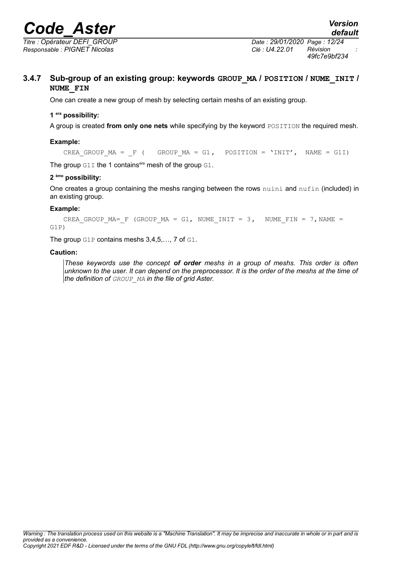*Titre : Opérateur DEFI\_GROUP Date : 29/01/2020 Page : 12/24 Responsable : PIGNET Nicolas Clé : U4.22.01 Révision :*

*49fc7e9bf234*

### **3.4.7 Sub-group of an existing group: keywords GROUP\_MA / POSITION / NUME\_INIT / NUME\_FIN**

<span id="page-11-0"></span>One can create a new group of mesh by selecting certain meshs of an existing group.

### **1 era possibility:**

A group is created from only one nets while specifying by the keyword POSITION the required mesh.

### **Example:**

CREA GROUP MA =  $F$  ( GROUP MA = G1, POSITION = 'INIT', NAME = G1I)

The group  $G1I$  the 1 contains<sup>era</sup> mesh of the group  $G1$ .

### **2 ème possibility:**

One creates a group containing the meshs ranging between the rows nuini and nufin (included) in an existing group.

### **Example:**

CREA GROUP MA= F (GROUP MA = G1, NUME INIT = 3, NUME FIN = 7, NAME = G1P)

The group G1P contains meshs 3,4,5,…, 7 of G1.

### **Caution:**

*These keywords use the concept of order meshs in a group of meshs. This order is often unknown to the user. It can depend on the preprocessor. It is the order of the meshs at the time of the definition of GROUP\_MA in the file of grid Aster.*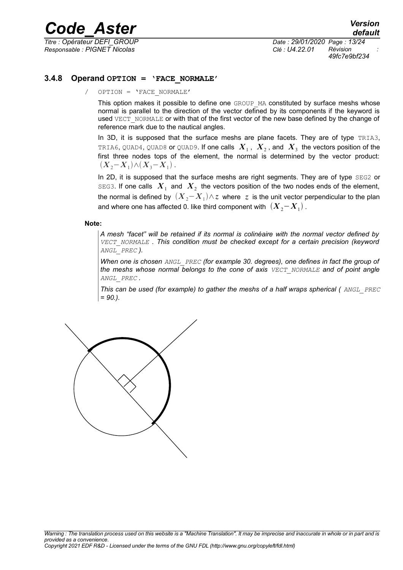*Responsable : PIGNET Nicolas Clé : U4.22.01 Révision :*

*Titre : Opérateur DEFI\_GROUP Date : 29/01/2020 Page : 13/24 49fc7e9bf234*

### **3.4.8 Operand OPTION = 'FACE\_NORMALE'**

<span id="page-12-0"></span>/ OPTION = 'FACE\_NORMALE'

This option makes it possible to define one GROUP MA constituted by surface meshs whose normal is parallel to the direction of the vector defined by its components if the keyword is used VECT\_NORMALE or with that of the first vector of the new base defined by the change of reference mark due to the nautical angles.

In 3D, it is supposed that the surface meshs are plane facets. They are of type TRIA3, <code>TRIA6, QUAD4, QUAD8</code> or <code>QUAD9.</code> If one calls  $\;X_1^{}\,,\;X_2^{}\,$  and  $\;X_3^{}\;$  the vectors position of the first three nodes tops of the element, the normal is determined by the vector product:  $(X_2 - X_1) \wedge (X_3 - X_1)$ .

In 2D, it is supposed that the surface meshs are right segments. They are of type SEG2 or SEG3. If one calls  $|X_{1}|$  and  $|X_{2}|$  the vectors position of the two nodes ends of the element, the normal is defined by  $\, (X_{\,2}\! -\! X_{\,1}) \wedge z \,$  where  $\,z \,$  is the unit vector perpendicular to the plan and where one has affected 0. like third component with  $\,\left(\boldsymbol{X}_2\!-\!\boldsymbol{X}_1\right)$  .

#### **Note:**

*A mesh "facet" will be retained if its normal is colinéaire with the normal vector defined by VECT\_NORMALE . This condition must be checked except for a certain precision (keyword ANGL\_PREC ).*

*When one is chosen ANGL\_PREC (for example 30. degrees), one defines in fact the group of the meshs whose normal belongs to the cone of axis VECT\_NORMALE and of point angle ANGL\_PREC .*

*This can be used (for example) to gather the meshs of a half wraps spherical ( ANGL\_PREC = 90.).*

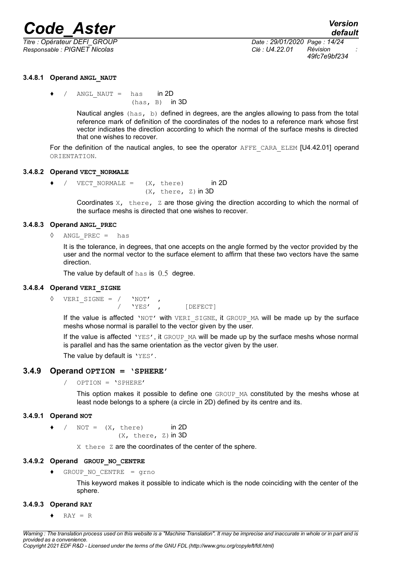*Responsable : PIGNET Nicolas Clé : U4.22.01 Révision :*

*Titre : Opérateur DEFI\_GROUP Date : 29/01/2020 Page : 14/24 49fc7e9bf234*

### **3.4.8.1 Operand ANGL\_NAUT**

<span id="page-13-7"></span>
$$
\bullet \quad / \quad \text{ANGL\_NAUT} = \text{has} \quad \text{in 2D}
$$
\n(has, B) in 3D

Nautical angles (has, b) defined in degrees, are the angles allowing to pass from the total reference mark of definition of the coordinates of the nodes to a reference mark whose first vector indicates the direction according to which the normal of the surface meshs is directed that one wishes to recover.

For the definition of the nautical angles, to see the operator AFFE\_CARA\_ELEM [U4.42.01] operand ORIENTATION.

### **3.4.8.2 Operand VECT\_NORMALE**

<span id="page-13-6"></span> $\bullet$  / VECT NORMALE =  $(X, \text{ there})$  in 2D  $(X, there, z)$  in 3D

> Coordinates  $X$ , there,  $Z$  are those giving the direction according to which the normal of the surface meshs is directed that one wishes to recover.

### **3.4.8.3 Operand ANGL\_PREC**

### <span id="page-13-5"></span> $ANGL$  PREC = has

It is the tolerance, in degrees, that one accepts on the angle formed by the vector provided by the user and the normal vector to the surface element to affirm that these two vectors have the same direction.

The value by default of has is  $0.5$  degree.

### **3.4.8.4 Operand VERI\_SIGNE**

<span id="page-13-4"></span>◊ VERI\_SIGNE = / 'NOT' , / 'YES' , [DEFECT]

If the value is affected 'NOT' with VERI SIGNE, it GROUP MA will be made up by the surface meshs whose normal is parallel to the vector given by the user.

If the value is affected 'YES', it GROUP MA will be made up by the surface meshs whose normal is parallel and has the same orientation as the vector given by the user.

<span id="page-13-3"></span>The value by default is 'YES'.

### **3.4.9 Operand OPTION = 'SPHERE'**

/ OPTION = 'SPHERE'

This option makes it possible to define one GROUP MA constituted by the meshs whose at least node belongs to a sphere (a circle in 2D) defined by its centre and its.

### **3.4.9.1 Operand NOT**

<span id="page-13-2"></span> $\bullet$  / NOT =  $(X, \text{ there})$  in 2D  $(X, \text{there}, Z)$  in 3D

X there Z are the coordinates of the center of the sphere.

### **3.4.9.2 Operand GROUP\_NO\_CENTRE**

<span id="page-13-1"></span>♦ GROUP\_NO\_CENTRE = grno

This keyword makes it possible to indicate which is the node coinciding with the center of the sphere.

### **3.4.9.3 Operand RAY**

<span id="page-13-0"></span> $\triangleleft$  RAY = R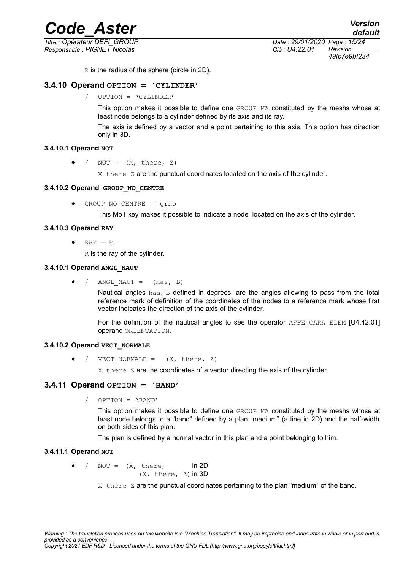# **Code\_Aster**<br>a : Opérateur DEFI\_GROUP between the set of the contract of the set of the set of the set of the set of the set o<br>Date : 29/01/2020 Page : 15/24

*Titre : Opérateur DEFI\_GROUP Date : 29/01/2020 Page : 15/24 Responsable : PIGNET Nicolas Clé : U4.22.01 Révision :*

*default*

*49fc7e9bf234*

R is the radius of the sphere (circle in 2D).

### **3.4.10 Operand OPTION = 'CYLINDER'**

<span id="page-14-7"></span>/ OPTION = 'CYLINDER'

This option makes it possible to define one GROUP\_MA constituted by the meshs whose at least node belongs to a cylinder defined by its axis and its ray.

The axis is defined by a vector and a point pertaining to this axis. This option has direction only in 3D.

### **3.4.10.1 Operand NOT**

<span id="page-14-6"></span> $\bullet$  / NOT =  $(X, \text{ there}, Z)$ 

 $X$  there  $Z$  are the punctual coordinates located on the axis of the cylinder.

### **3.4.10.2 Operand GROUP\_NO\_CENTRE**

<span id="page-14-5"></span>♦ GROUP\_NO\_CENTRE = grno

This MoT key makes it possible to indicate a node located on the axis of the cylinder.

### **3.4.10.3 Operand RAY**

<span id="page-14-4"></span> $\triangleleft$  RAY = R

 $R$  is the ray of the cylinder.

### **3.4.10.1 Operand ANGL\_NAUT**

<span id="page-14-3"></span> $\bullet$  / ANGL NAUT = (has, B)

Nautical angles has, B defined in degrees, are the angles allowing to pass from the total reference mark of definition of the coordinates of the nodes to a reference mark whose first vector indicates the direction of the axis of the cylinder.

For the definition of the nautical angles to see the operator AFFE CARA ELEM [U4.42.01] operand ORIENTATION.

### **3.4.10.2 Operand VECT\_NORMALE**

<span id="page-14-2"></span>/ VECT NORMALE =  $(X, there, Z)$ 

X there Z are the coordinates of a vector directing the axis of the cylinder.

### **3.4.11 Operand OPTION = 'BAND'**

<span id="page-14-1"></span>/ OPTION = 'BAND'

This option makes it possible to define one GROUP MA constituted by the meshs whose at least node belongs to a "band" defined by a plan "medium" (a line in 2D) and the half-width on both sides of this plan.

The plan is defined by a normal vector in this plan and a point belonging to him.

### **3.4.11.1 Operand NOT**

<span id="page-14-0"></span> $/$  NOT =  $(X, \text{ there})$  in 2D  $(X, there, z)$  in 3D

 $X$  there  $Z$  are the punctual coordinates pertaining to the plan "medium" of the band.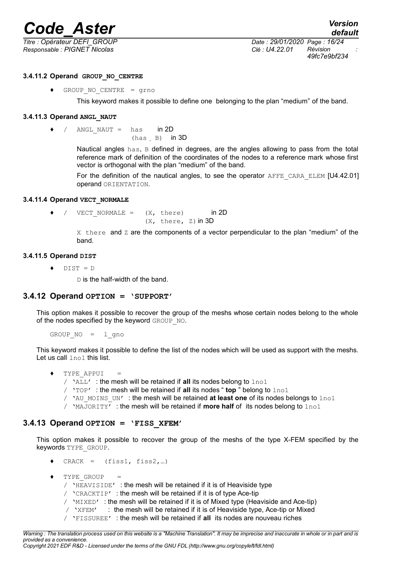*Responsable : PIGNET Nicolas Clé : U4.22.01 Révision :*

### **3.4.11.2 Operand GROUP\_NO\_CENTRE**

<span id="page-15-5"></span>♦ GROUP\_NO\_CENTRE = grno

This keyword makes it possible to define one belonging to the plan "medium" of the band.

### **3.4.11.3 Operand ANGL\_NAUT**

<span id="page-15-4"></span>♦ / ANGL\_NAUT = has in 2D

(has B) in 3D

Nautical angles  $has$ ,  $B$  defined in degrees, are the angles allowing to pass from the total reference mark of definition of the coordinates of the nodes to a reference mark whose first vector is orthogonal with the plan "medium" of the band.

For the definition of the nautical angles, to see the operator AFFE CARA ELEM [U4.42.01] operand ORIENTATION.

### **3.4.11.4 Operand VECT\_NORMALE**

<span id="page-15-3"></span> $\rightarrow$  / VECT NORMALE =  $(X, \text{ there})$  in 2D  $(X, there, z)$  in 3D

> $X$  there and  $Z$  are the components of a vector perpendicular to the plan "medium" of the band.

### **3.4.11.5 Operand DIST**

<span id="page-15-2"></span>♦ DIST = D

 $D$  is the half-width of the band.

### **3.4.12 Operand OPTION = 'SUPPORT'**

<span id="page-15-1"></span>This option makes it possible to recover the group of the meshs whose certain nodes belong to the whole of the nodes specified by the keyword GROUP\_NO.

GROUP  $NO = 1$  gno

This keyword makes it possible to define the list of the nodes which will be used as support with the meshs. Let us call lno1 this list.

- TYPE APPUI
	- / 'ALL' : the mesh will be retained if **all** its nodes belong to lno1
	- / 'TOP' : the mesh will be retained if **all** its nodes " **top** " belong to lno1
	- / 'AU\_MOINS\_UN' : the mesh will be retained **at least one** of its nodes belongs to lno1
	- / 'MAJORITY' : the mesh will be retained if **more half** of its nodes belong to lno1

### **3.4.13 Operand OPTION = 'FISS\_XFEM'**

<span id="page-15-0"></span>This option makes it possible to recover the group of the meshs of the type X-FEM specified by the keywords TYPE\_GROUP.

- $CRACT = (fiss1, fiss2, ...)$
- ♦ TYPE\_GROUP =
	- / 'HEAVISIDE' : the mesh will be retained if it is of Heaviside type
	- / 'CRACKTIP' : the mesh will be retained if it is of type Ace-tip
	- / 'MIXED' : the mesh will be retained if it is of Mixed type (Heaviside and Ace-tip)
	- $\gamma$  'XFEM' : the mesh will be retained if it is of Heaviside type, Ace-tip or Mixed
	- / 'FISSUREE' : the mesh will be retained if **all** its nodes are nouveau riches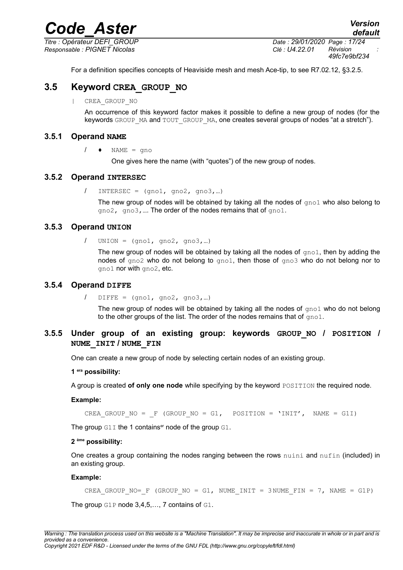*Responsable : PIGNET Nicolas Clé : U4.22.01 Révision :*

*default Titre : Opérateur DEFI\_GROUP Date : 29/01/2020 Page : 17/24 49fc7e9bf234*

<span id="page-16-5"></span>For a definition specifies concepts of Heaviside mesh and mesh Ace-tip, to see R7.02.12, §3.2.5.

### **3.5 Keyword CREA\_GROUP\_NO**

| CREA\_GROUP\_NO

An occurrence of this keyword factor makes it possible to define a new group of nodes (for the keywords GROUP MA and TOUT GROUP MA, one creates several groups of nodes "at a stretch").

### **3.5.1 Operand NAME**

<span id="page-16-4"></span> $/ \rightarrow$  NAME = gno

One gives here the name (with "quotes") of the new group of nodes.

### **3.5.2 Operand INTERSEC**

<span id="page-16-3"></span> $/$  INTERSEC =  $(9n01, 9n02, 9n03,...)$ 

The new group of nodes will be obtained by taking all the nodes of  $qno1$  who also belong to gno2, gno3, .... The order of the nodes remains that of gno1.

### **3.5.3 Operand UNION**

<span id="page-16-2"></span> $/$  UNION =  $(9n01, 9n02, 9n03,...)$ 

The new group of nodes will be obtained by taking all the nodes of  $qno1$ , then by adding the nodes of  $qno2$  who do not belong to  $qno1$ , then those of  $qno3$  who do not belong nor to gno1 nor with gno2, etc.

### **3.5.4 Operand DIFFE**

<span id="page-16-1"></span> $/$  DIFFE =  $($ gno1, gno2, gno3,...)

The new group of nodes will be obtained by taking all the nodes of  $q_{\text{no}}1$  who do not belong to the other groups of the list. The order of the nodes remains that of  $q_{\text{mol}}$ .

### **3.5.5 Under group of an existing group: keywords GROUP\_NO / POSITION / NUME\_INIT / NUME\_FIN**

<span id="page-16-0"></span>One can create a new group of node by selecting certain nodes of an existing group.

### **1 era possibility:**

A group is created **of only one node** while specifying by the keyword POSITION the required node.

### **Example:**

CREA GROUP NO =  $F$  (GROUP NO = G1, POSITION = 'INIT', NAME = G1I)

The group  $G1I$  the 1 contains<sup>er</sup> node of the group  $G1$ .

### **2 ème possibility:**

One creates a group containing the nodes ranging between the rows nuini and nufin (included) in an existing group.

### **Example:**

CREA GROUP NO= F (GROUP NO = G1, NUME INIT = 3NUME FIN = 7, NAME = G1P) The group G1P node 3,4,5,..., 7 contains of G1.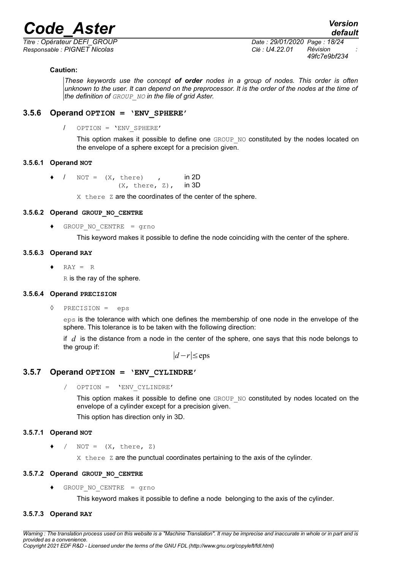*Responsable : PIGNET Nicolas Clé : U4.22.01 Révision :*

### **Caution:**

*These keywords use the concept of order nodes in a group of nodes. This order is often unknown to the user. It can depend on the preprocessor. It is the order of the nodes at the time of the definition of GROUP\_NO in the file of grid Aster.*

### **3.5.6 Operand OPTION = 'ENV\_SPHERE'**

<span id="page-17-8"></span>/ OPTION = 'ENV\_SPHERE'

This option makes it possible to define one GROUP\_NO constituted by the nodes located on the envelope of a sphere except for a precision given.

### **3.5.6.1 Operand NOT**

- <span id="page-17-7"></span> $\bullet$  / NOT =  $(X, \text{ there})$  , in 2D
	- $(X, there, Z)$ , in 3D

X there Z are the coordinates of the center of the sphere.

### **3.5.6.2 Operand GROUP\_NO\_CENTRE**

<span id="page-17-6"></span> $GROUP NO CENTRE = grno$ 

This keyword makes it possible to define the node coinciding with the center of the sphere.

### **3.5.6.3 Operand RAY**

<span id="page-17-5"></span> $\triangleleft$  RAY = R

R is the ray of the sphere.

### **3.5.6.4 Operand PRECISION**

<span id="page-17-4"></span>◊ PRECISION = eps

eps is the tolerance with which one defines the membership of one node in the envelope of the sphere. This tolerance is to be taken with the following direction:

if *d* is the distance from a node in the center of the sphere, one says that this node belongs to the group if:

∣*d*−*r*∣≤eps

### **3.5.7 Operand OPTION = 'ENV\_CYLINDRE'**

<span id="page-17-3"></span>/ OPTION = 'ENV\_CYLINDRE'

This option makes it possible to define one GROUP\_NO constituted by nodes located on the envelope of a cylinder except for a precision given.

This option has direction only in 3D.

### **3.5.7.1 Operand NOT**

<span id="page-17-2"></span> $\bullet$  / NOT =  $(X, \text{ there, } Z)$ 

 $X$  there  $Z$  are the punctual coordinates pertaining to the axis of the cylinder.

### **3.5.7.2 Operand GROUP\_NO\_CENTRE**

<span id="page-17-1"></span><span id="page-17-0"></span>♦ GROUP\_NO\_CENTRE = grno

This keyword makes it possible to define a node belonging to the axis of the cylinder.

### **3.5.7.3 Operand RAY**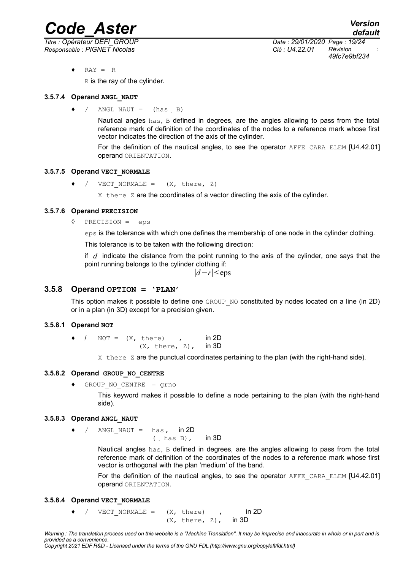*Titre : Opérateur DEFI\_GROUP Date : 29/01/2020 Page : 19/24 Responsable : PIGNET Nicolas Clé : U4.22.01 Révision :*

*49fc7e9bf234*

 $RAY = R$ 

 $R$  is the ray of the cylinder.

### **3.5.7.4 Operand ANGL\_NAUT**

<span id="page-18-7"></span> $\bullet$  / ANGL NAUT = (has B)

Nautical angles has, B defined in degrees, are the angles allowing to pass from the total reference mark of definition of the coordinates of the nodes to a reference mark whose first vector indicates the direction of the axis of the cylinder.

For the definition of the nautical angles, to see the operator AFFE\_CARA\_ELEM [U4.42.01] operand ORIENTATION.

### **3.5.7.5 Operand VECT\_NORMALE**

<span id="page-18-6"></span>VECT NORMALE =  $(X, \text{ there}, Z)$ 

 $X$  there  $Z$  are the coordinates of a vector directing the axis of the cylinder.

### **3.5.7.6 Operand PRECISION**

<span id="page-18-5"></span>◊ PRECISION = eps

eps is the tolerance with which one defines the membership of one node in the cylinder clothing.

This tolerance is to be taken with the following direction:

if *d* indicate the distance from the point running to the axis of the cylinder, one says that the point running belongs to the cylinder clothing if:

∣*d*−*r*∣≤eps

### **3.5.8 Operand OPTION = 'PLAN'**

<span id="page-18-4"></span>This option makes it possible to define one GROUP\_NO constituted by nodes located on a line (in 2D) or in a plan (in 3D) except for a precision given.

### **3.5.8.1 Operand NOT**

<span id="page-18-3"></span> $\bullet$  / NOT =  $(X, \text{ there})$  , in 2D  $(X, there, Z)$ , in 3D

 $X$  there  $Z$  are the punctual coordinates pertaining to the plan (with the right-hand side).

### **3.5.8.2 Operand GROUP\_NO\_CENTRE**

<span id="page-18-2"></span>♦ GROUP\_NO\_CENTRE = grno

This keyword makes it possible to define a node pertaining to the plan (with the right-hand side).

### **3.5.8.3 Operand ANGL\_NAUT**

<span id="page-18-1"></span>/ ANGL NAUT = has,  $in 2D$ 

 $($  has B), in 3D

Nautical angles has, B defined in degrees, are the angles allowing to pass from the total reference mark of definition of the coordinates of the nodes to a reference mark whose first vector is orthogonal with the plan 'medium' of the band.

For the definition of the nautical angles, to see the operator AFFE CARA ELEM [U4.42.01] operand ORIENTATION.

### **3.5.8.4 Operand VECT\_NORMALE**

- <span id="page-18-0"></span> $\bullet$  / VECT NORMALE =  $(X, \text{ there})$  , in 2D
	- $(X, there, Z)$ , in 3D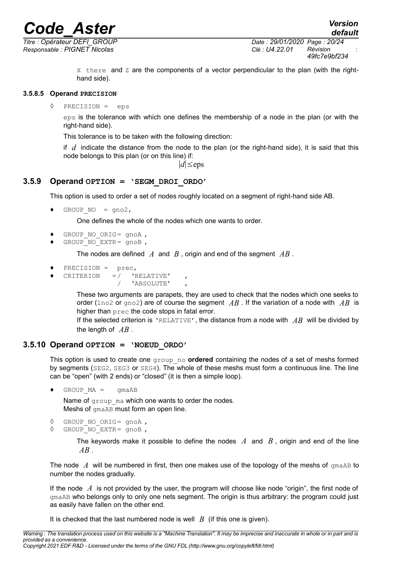*Responsable : PIGNET Nicolas Clé : U4.22.01 Révision :*

*Titre : Opérateur DEFI\_GROUP Date : 29/01/2020 Page : 20/24 49fc7e9bf234*

> $X$  there and  $Z$  are the components of a vector perpendicular to the plan (with the righthand side).

### **3.5.8.5 Operand PRECISION**

<span id="page-19-2"></span>◊ PRECISION = eps

eps is the tolerance with which one defines the membership of a node in the plan (or with the right-hand side).

This tolerance is to be taken with the following direction:

if *d* indicate the distance from the node to the plan (or the right-hand side), it is said that this node belongs to this plan (or on this line) if:

∣*d*∣≤eps

### **3.5.9 Operand OPTION = 'SEGM\_DROI\_ORDO'**

<span id="page-19-1"></span>This option is used to order a set of nodes roughly located on a segment of right-hand side AB.

 $\triangleleft$  GROUP NO = gno2,

One defines the whole of the nodes which one wants to order.

- GROUP NO ORIG=  $qnoA$  ,
- $GROUPNO$  EXTR= gnoB,

The nodes are defined *A* and *B* , origin and end of the segment *AB* .

- PRECISION = prec,
- CRITERION  $=$  /  $'$  'RELATIVE', / 'ABSOLUTE' ,

These two arguments are parapets, they are used to check that the nodes which one seeks to order (lno2 or gno2) are of course the segment *AB* . If the variation of a node with *AB* is higher than prec the code stops in fatal error.

If the selected criterion is 'RELATIVE', the distance from a node with *AB* will be divided by the length of *AB* .

### **3.5.10 Operand OPTION = 'NOEUD\_ORDO'**

<span id="page-19-0"></span>This option is used to create one group\_no **ordered** containing the nodes of a set of meshs formed by segments (SEG2, SEG3 or SEG4). The whole of these meshs must form a continuous line. The line can be "open" (with 2 ends) or "closed" (it is then a simple loop).

 $\bullet$  GROUP MA = gmaAB

Name of group ma which one wants to order the nodes. Meshs of gmaAB must form an open line.

```
◊ GROUP_NO_ORIG= gnoA ,
```
◊ GROUP\_NO\_EXTR= gnoB ,

The keywords make it possible to define the nodes *A* and *B* , origin and end of the line *AB* .

The node  $\Lambda$  will be numbered in first, then one makes use of the topology of the meshs of  $\sigma$ maAB to number the nodes gradually.

If the node *A* is not provided by the user, the program will choose like node "origin", the first node of gmaAB who belongs only to only one nets segment. The origin is thus arbitrary: the program could just as easily have fallen on the other end.

It is checked that the last numbered node is well  $\,B\,$  (if this one is given).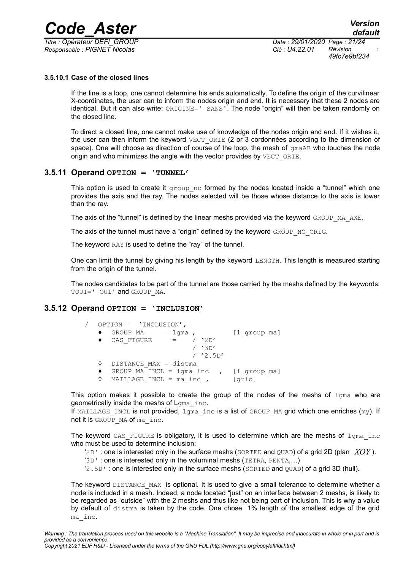*Titre : Opérateur DEFI\_GROUP Date : 29/01/2020 Page : 21/24 Responsable : PIGNET Nicolas Clé : U4.22.01 Révision :*

*49fc7e9bf234*

### **3.5.10.1 Case of the closed lines**

<span id="page-20-2"></span>If the line is a loop, one cannot determine his ends automatically. To define the origin of the curvilinear X-coordinates, the user can to inform the nodes origin and end. It is necessary that these 2 nodes are identical. But it can also write: ORIGINE=' SANS'. The node "origin" will then be taken randomly on the closed line.

To direct a closed line, one cannot make use of knowledge of the nodes origin and end. If it wishes it, the user can then inform the keyword  $VECT$   $ORIE$  (2 or 3 cordonnées according to the dimension of space). One will choose as direction of course of the loop, the mesh of  $Gm$  and  $Bm$  touches the node origin and who minimizes the angle with the vector provides by VECT ORIE.

### **3.5.11 Operand OPTION = 'TUNNEL'**

<span id="page-20-1"></span>This option is used to create it  $group$  no formed by the nodes located inside a "tunnel" which one provides the axis and the ray. The nodes selected will be those whose distance to the axis is lower than the ray.

The axis of the "tunnel" is defined by the linear meshs provided via the keyword GROUP\_MA\_AXE.

The axis of the tunnel must have a "origin" defined by the keyword GROUP\_NO\_ORIG.

The keyword RAY is used to define the "ray" of the tunnel.

One can limit the tunnel by giving his length by the keyword LENGTH. This length is measured starting from the origin of the tunnel.

The nodes candidates to be part of the tunnel are those carried by the meshs defined by the keywords: TOUT=' OUI' and GROUP MA.

### **3.5.12 Operand OPTION = 'INCLUSION'**

<span id="page-20-0"></span>

|  | OPTION = 'INCLUSION',                  |              |
|--|----------------------------------------|--------------|
|  | GROUP MA<br>$=$ lqma,                  | [1 group ma] |
|  | $/$ '2D'<br>CAS FIGURE<br>$\alpha = 1$ |              |
|  | $/$ '3D'                               |              |
|  | $/$ '2.5D'                             |              |
|  | DISTANCE MAX = distma                  |              |
|  | GROUP MA INCL = $l$ gma inc ,          | [1 group ma] |
|  | MAILLAGE INCL = $ma$ inc,              | [qrid]       |

This option makes it possible to create the group of the nodes of the meshs of  $1$ gma who are geometrically inside the meshs of Lgma inc.

If MAILLAGE INCL is not provided,  $1\sigma$ ma inc is a list of GROUP MA grid which one enriches (my). If not it is GROUP MA of ma\_inc.

The keyword CAS FIGURE is obligatory, it is used to determine which are the meshs of  $1$ gma inc who must be used to determine inclusion:

 $2D'$  : one is interested only in the surface meshs (SORTED and OUAD) of a grid 2D (plan *XOY*).

'3D' : one is interested only in the voluminal meshs (TETRA, PENTA,…)

'2.5D' : one is interested only in the surface meshs (SORTED and QUAD) of a grid 3D (hull).

The keyword DISTANCE MAX is optional. It is used to give a small tolerance to determine whether a node is included in a mesh. Indeed, a node located "just" on an interface between 2 meshs, is likely to be regarded as "outside" with the 2 meshs and thus like not being part of inclusion. This is why a value by default of distma is taken by the code. One chose 1% length of the smallest edge of the grid ma\_inc.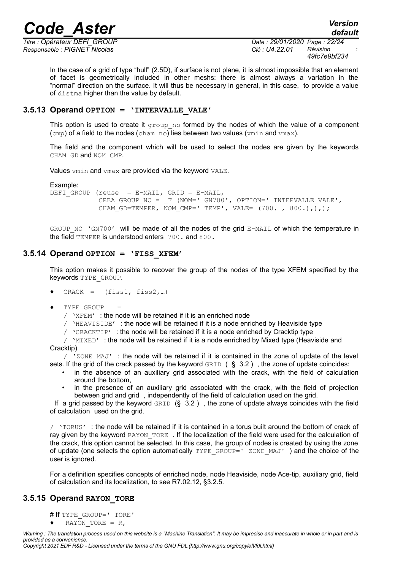*Responsable : PIGNET Nicolas Clé : U4.22.01 Révision :*

*Titre : Opérateur DEFI\_GROUP Date : 29/01/2020 Page : 22/24 49fc7e9bf234*

In the case of a grid of type "hull" (2.5D), if surface is not plane, it is almost impossible that an element of facet is geometrically included in other meshs: there is almost always a variation in the "normal" direction on the surface. It will thus be necessary in general, in this case, to provide a value of distma higher than the value by default.

### **3.5.13 Operand OPTION = 'INTERVALLE\_VALE'**

<span id="page-21-2"></span>This option is used to create it  $q_{\text{roup}}$  no formed by the nodes of which the value of a component (cmp) of a field to the nodes (cham no) lies between two values (vmin and vmax).

The field and the component which will be used to select the nodes are given by the keywords CHAM\_GD and NOM\_CMP.

Values vmin and vmax are provided via the keyword VALE.

Example:

DEFI GROUP (reuse = E-MAIL, GRID = E-MAIL, CREA GROUP NO =  $_F$  (NOM=' GN700', OPTION=' INTERVALLE VALE', CHAM GD=TEMPER, NOM CMP=' TEMP', VALE= (700. , 800.),),);

GROUP NO 'GN700' will be made of all the nodes of the grid E-MAIL of which the temperature in the field TEMPER is understood enters 700. and 800.

### **3.5.14 Operand OPTION = 'FISS\_XFEM'**

<span id="page-21-1"></span>This option makes it possible to recover the group of the nodes of the type XFEM specified by the keywords TYPE\_GROUP.

- $\triangleleft$  CRACK = (fiss1, fiss2,...)
- $\blacklozenge$  TYPE GROUP

/ 'XFEM' : the node will be retained if it is an enriched node

 $/$  'HEAVISIDE' : the node will be retained if it is a node enriched by Heaviside type

 $\prime$  'CRACKTIP' : the node will be retained if it is a node enriched by Cracktip type

 $\mu$  'MIXED' : the node will be retained if it is a node enriched by Mixed type (Heaviside and Cracktip)

 $\sqrt{2}$ ONE MAJ' : the node will be retained if it is contained in the zone of update of the level sets. If the grid of the crack passed by the keyword  $GRLD$  ( § 3.2), the zone of update coincides:

- in the absence of an auxiliary grid associated with the crack, with the field of calculation around the bottom,
- in the presence of an auxiliary grid associated with the crack, with the field of projection between grid and grid , independently of the field of calculation used on the grid.

If a grid passed by the keyword  $GRLD$  (§ 3.2), the zone of update always coincides with the field of calculation used on the grid.

/ 'TORUS' : the node will be retained if it is contained in a torus built around the bottom of crack of ray given by the keyword RAYON TORE. If the localization of the field were used for the calculation of the crack, this option cannot be selected. In this case, the group of nodes is created by using the zone of update (one selects the option automatically TYPE GROUP=' ZONE MAJ' ) and the choice of the user is ignored.

For a definition specifies concepts of enriched node, node Heaviside, node Ace-tip, auxiliary grid, field of calculation and its localization, to see R7.02.12, §3.2.5.

### **3.5.15 Operand RAYON\_TORE**

<span id="page-21-0"></span># If TYPE GROUP=' TORE'  $\bullet$  RAYON TORE = R,

*Warning : The translation process used on this website is a "Machine Translation". It may be imprecise and inaccurate in whole or in part and is provided as a convenience.*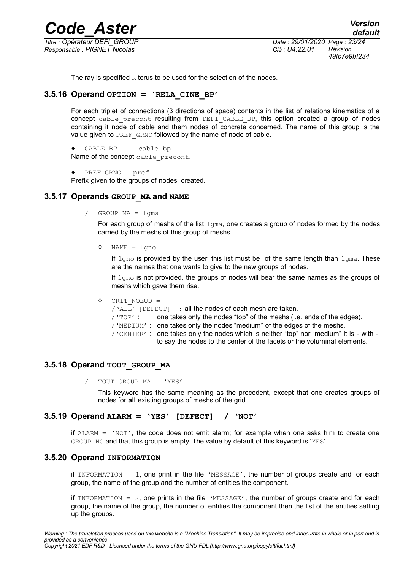*Code\_Aster Version Titre : Opérateur DEFI\_GROUP Date : 29/01/2020 Page : 23/24 Responsable : PIGNET Nicolas Clé : U4.22.01 Révision :*

*49fc7e9bf234*

<span id="page-22-4"></span>The ray is specified  $R$  torus to be used for the selection of the nodes.

### **3.5.16 Operand OPTION = 'RELA\_CINE\_BP'**

For each triplet of connections (3 directions of space) contents in the list of relations kinematics of a concept cable precont resulting from DEFI CABLE BP, this option created a group of nodes containing it node of cable and them nodes of concrete concerned. The name of this group is the value given to PREF GRNO followed by the name of node of cable.

```
\triangleleft CABLE BP = cable bp
Name of the concept cable precont.
```

```
♦ PREF_GRNO = pref
```
<span id="page-22-3"></span>Prefix given to the groups of nodes created.

### **3.5.17 Operands GROUP\_MA and NAME**

/ GROUP\_MA = lgma

For each group of meshs of the list  $l_{\text{gma}}$ , one creates a group of nodes formed by the nodes carried by the meshs of this group of meshs.

◊ NAME = lgno

If  $l$ gno is provided by the user, this list must be of the same length than  $l$ gma. These are the names that one wants to give to the new groups of nodes.

If  $1$ gno is not provided, the groups of nodes will bear the same names as the groups of meshs which gave them rise.

```
◊ CRIT_NOEUD =
```
/'ALL' [DEFECT] : all the nodes of each mesh are taken.  $/$   $'$   $TOP$  : one takes only the nodes "top" of the meshs (i.e. ends of the edges). /'MEDIUM' : one takes only the nodes "medium" of the edges of the meshs. /'CENTER' : one takes only the nodes which is neither "top" nor "medium" it is - with to say the nodes to the center of the facets or the voluminal elements.

### **3.5.18 Operand TOUT\_GROUP\_MA**

<span id="page-22-2"></span>/ TOUT GROUP MA = 'YES'

This keyword has the same meaning as the precedent, except that one creates groups of nodes for **all** existing groups of meshs of the grid.

### **3.5.19 Operand ALARM = 'YES' [DEFECT] / 'NOT'**

<span id="page-22-1"></span>if  $ALARM = 'NOT'$ , the code does not emit alarm; for example when one asks him to create one GROUP NO and that this group is empty. The value by default of this keyword is 'YES'.

### **3.5.20 Operand INFORMATION**

<span id="page-22-0"></span>if INFORMATION = 1, one print in the file 'MESSAGE', the number of groups create and for each group, the name of the group and the number of entities the component.

if INFORMATION =  $2$ , one prints in the file 'MESSAGE', the number of groups create and for each group, the name of the group, the number of entities the component then the list of the entities setting up the groups.